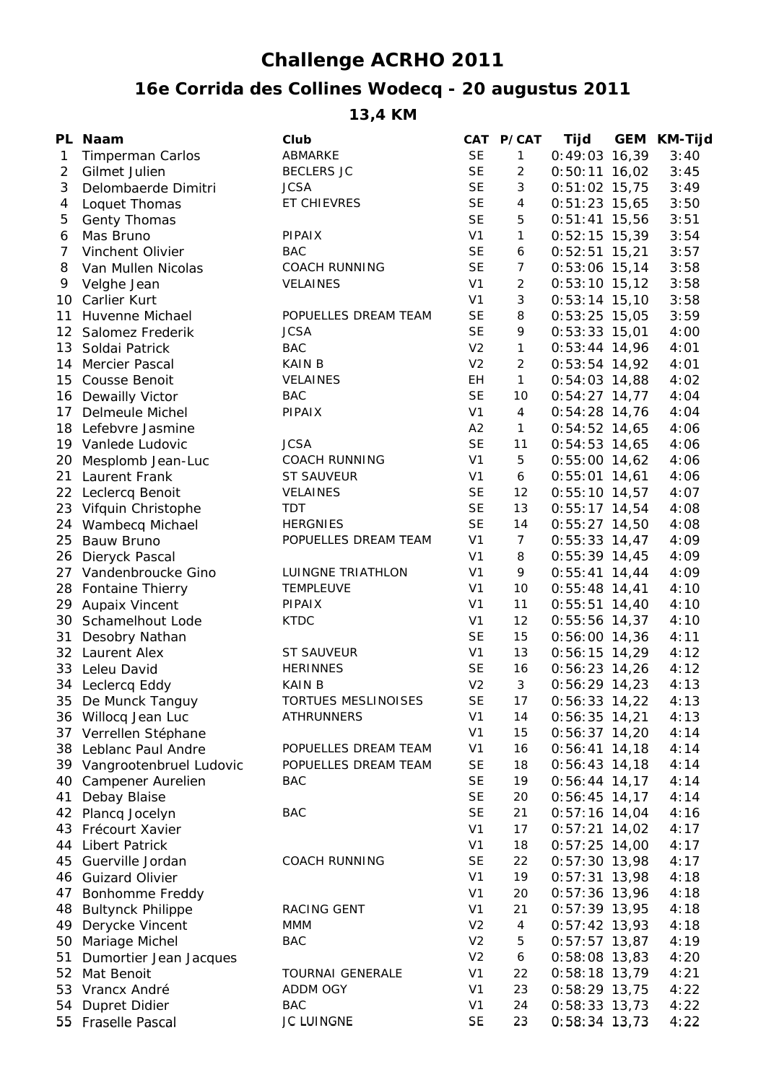## **Challenge ACRHO 2011**

## **16e Corrida des Collines Wodecq - 20 augustus 2011**

**13,4 KM**

|                | PL Naam                    | Club                       |                | CAT P/CAT      | Tijd            | GEM KM-Tijd |
|----------------|----------------------------|----------------------------|----------------|----------------|-----------------|-------------|
| 1              | <b>Timperman Carlos</b>    | ABMARKE                    | <b>SE</b>      | $\mathbf{1}$   | $0:49:03$ 16,39 | 3:40        |
| $\overline{2}$ | Gilmet Julien              | <b>BECLERS JC</b>          | <b>SE</b>      | $\overline{2}$ | $0:50:11$ 16,02 | 3:45        |
| 3              | Delombaerde Dimitri        | <b>JCSA</b>                | <b>SE</b>      | 3              | $0:51:02$ 15,75 | 3:49        |
| 4              | Loquet Thomas              | ET CHIEVRES                | <b>SE</b>      | 4              | $0:51:23$ 15,65 | 3:50        |
| 5              | Genty Thomas               |                            | <b>SE</b>      | 5              | $0:51:41$ 15,56 | 3:51        |
| 6              | Mas Bruno                  | PIPAIX                     | V <sub>1</sub> | $\mathbf{1}$   | $0:52:15$ 15,39 | 3:54        |
| 7              | Vinchent Olivier           | <b>BAC</b>                 | <b>SE</b>      | 6              | $0:52:51$ 15,21 | 3:57        |
| 8              | Van Mullen Nicolas         | <b>COACH RUNNING</b>       | <b>SE</b>      | $\overline{7}$ | $0:53:06$ 15,14 | 3:58        |
| 9              | Velghe Jean                | <b>VELAINES</b>            | V <sub>1</sub> | $\overline{a}$ | $0:53:10$ 15,12 | 3:58        |
|                | 10 Carlier Kurt            |                            | V <sub>1</sub> | 3              | $0:53:14$ 15,10 | 3:58        |
| 11             | Huvenne Michael            | POPUELLES DREAM TEAM       | <b>SE</b>      | 8              | $0:53:25$ 15,05 | 3:59        |
|                | 12 Salomez Frederik        | <b>JCSA</b>                | <b>SE</b>      | 9              | $0:53:33$ 15,01 | 4:00        |
| 13             | Soldai Patrick             | <b>BAC</b>                 | V <sub>2</sub> | $\mathbf{1}$   | $0:53:44$ 14,96 | 4:01        |
| 14             | Mercier Pascal             | <b>KAIN B</b>              | V <sub>2</sub> | $\overline{c}$ | $0:53:54$ 14,92 | 4:01        |
| 15             | Cousse Benoit              | VELAINES                   | EH             | $\mathbf{1}$   | $0:54:03$ 14,88 | 4:02        |
|                | 16 Dewailly Victor         | <b>BAC</b>                 | <b>SE</b>      | 10             | $0:54:27$ 14,77 | 4:04        |
| 17             | Delmeule Michel            | PIPAIX                     | V <sub>1</sub> | $\overline{4}$ | $0:54:28$ 14,76 | 4:04        |
|                | 18 Lefebvre Jasmine        |                            | A2             | $\mathbf{1}$   | $0:54:52$ 14,65 | 4:06        |
|                | 19 Vanlede Ludovic         | <b>JCSA</b>                | <b>SE</b>      | 11             | $0:54:53$ 14,65 | 4:06        |
|                | 20 Mesplomb Jean-Luc       | <b>COACH RUNNING</b>       | V <sub>1</sub> | 5              | $0:55:00$ 14,62 | 4:06        |
|                | 21 Laurent Frank           | <b>ST SAUVEUR</b>          | V <sub>1</sub> | 6              | $0:55:01$ 14,61 | 4:06        |
|                | 22 Leclercq Benoit         | VELAINES                   | <b>SE</b>      | 12             | $0:55:10$ 14,57 | 4:07        |
|                | 23 Vifquin Christophe      | <b>TDT</b>                 | <b>SE</b>      | 13             | $0:55:17$ 14,54 | 4:08        |
|                | 24 Wambecq Michael         | <b>HERGNIES</b>            | <b>SE</b>      | 14             | $0:55:27$ 14,50 | 4:08        |
| 25             | Bauw Bruno                 | POPUELLES DREAM TEAM       | V <sub>1</sub> | $\overline{7}$ | $0:55:33$ 14,47 | 4:09        |
|                | 26 Dieryck Pascal          |                            | V <sub>1</sub> | 8              | $0:55:39$ 14,45 | 4:09        |
|                | 27 Vandenbroucke Gino      | LUINGNE TRIATHLON          | V <sub>1</sub> | 9              | $0:55:41$ 14,44 | 4:09        |
|                | 28 Fontaine Thierry        | <b>TEMPLEUVE</b>           | V <sub>1</sub> | 10             | $0:55:48$ 14,41 | 4:10        |
|                | 29 Aupaix Vincent          | PIPAIX                     | V <sub>1</sub> | 11             | $0:55:51$ 14,40 | 4:10        |
|                | 30 Schamelhout Lode        | <b>KTDC</b>                | V <sub>1</sub> | 12             | $0:55:56$ 14,37 | 4:10        |
| 31             | Desobry Nathan             |                            | <b>SE</b>      | 15             | $0:56:00$ 14,36 | 4:11        |
|                | 32 Laurent Alex            | <b>ST SAUVEUR</b>          | V <sub>1</sub> | 13             | $0:56:15$ 14,29 | 4:12        |
|                | 33 Leleu David             | <b>HERINNES</b>            | <b>SE</b>      | 16             | $0:56:23$ 14,26 | 4:12        |
|                | 34 Leclercq Eddy           | <b>KAIN B</b>              | V <sub>2</sub> | $\mathbf{3}$   | $0:56:29$ 14,23 | 4:13        |
|                | 35 De Munck Tanguy         | <b>TORTUES MESLINOISES</b> | <b>SE</b>      | 17             | $0:56:33$ 14,22 | 4:13        |
|                | 36 Willocq Jean Luc        | <b>ATHRUNNERS</b>          | V <sub>1</sub> | 14             | $0:56:35$ 14,21 | 4:13        |
|                | 37 Verrellen Stéphane      |                            | V <sub>1</sub> | 15             | $0:56:37$ 14,20 | 4:14        |
|                | 38 Leblanc Paul Andre      | POPUELLES DREAM TEAM       | V <sub>1</sub> | 16             | $0:56:41$ 14,18 | 4:14        |
|                | 39 Vangrootenbruel Ludovic | POPUELLES DREAM TEAM       | <b>SE</b>      | 18             | $0:56:43$ 14,18 | 4:14        |
| 40             | Campener Aurelien          | BAC                        | <b>SE</b>      | 19             | $0:56:44$ 14,17 | 4:14        |
| 41             | Debay Blaise               |                            | <b>SE</b>      | 20             | $0:56:45$ 14,17 | 4:14        |
|                | 42 Plancq Jocelyn          | <b>BAC</b>                 | <b>SE</b>      | 21             | $0:57:16$ 14,04 | 4:16        |
| 43             | Frécourt Xavier            |                            | V <sub>1</sub> | 17             | $0:57:21$ 14,02 | 4:17        |
| 44             | <b>Libert Patrick</b>      |                            | V <sub>1</sub> | 18             | $0:57:25$ 14,00 | 4:17        |
| 45             | Guerville Jordan           | <b>COACH RUNNING</b>       | <b>SE</b>      | 22             | $0:57:30$ 13,98 | 4:17        |
|                | 46 Guizard Olivier         |                            | V <sub>1</sub> | 19             | $0:57:31$ 13,98 | 4:18        |
| 47             | Bonhomme Freddy            |                            | V <sub>1</sub> | 20             | $0:57:36$ 13,96 | 4:18        |
|                | 48 Bultynck Philippe       | RACING GENT                | V <sub>1</sub> | 21             | $0:57:39$ 13,95 | 4:18        |
|                | 49 Derycke Vincent         | MMM                        | V <sub>2</sub> | 4              | $0:57:42$ 13,93 | 4:18        |
|                | 50 Mariage Michel          | <b>BAC</b>                 | V <sub>2</sub> | 5              | $0:57:57$ 13,87 | 4:19        |
| 51             | Dumortier Jean Jacques     |                            | V <sub>2</sub> | 6              | $0:58:08$ 13,83 | 4:20        |
| 52             | Mat Benoit                 | <b>TOURNAI GENERALE</b>    | V <sub>1</sub> | 22             | $0:58:18$ 13,79 | 4:21        |
| 53             | Vrancx André               | ADDM OGY                   | V <sub>1</sub> | 23             | $0:58:29$ 13,75 | 4:22        |
| 54             | <b>Dupret Didier</b>       | BAC                        | V <sub>1</sub> | 24             | $0:58:33$ 13,73 | 4:22        |
|                | 55 Fraselle Pascal         | JC LUINGNE                 | SE             | 23             | $0:58:34$ 13,73 | 4:22        |
|                |                            |                            |                |                |                 |             |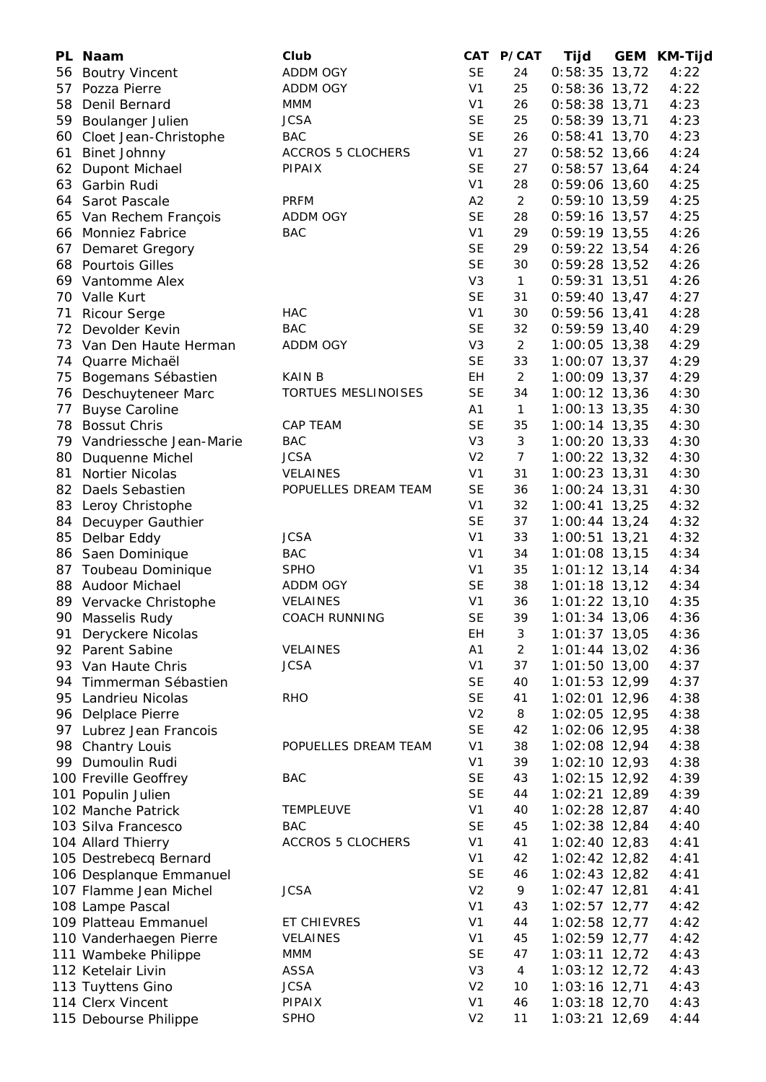|    | PL Naam                    | Club                     |                | CAT P/CAT      | Tijd            | GEM KM-Tijd |
|----|----------------------------|--------------------------|----------------|----------------|-----------------|-------------|
| 56 | <b>Boutry Vincent</b>      | ADDM OGY                 | <b>SE</b>      | 24             | $0:58:35$ 13,72 | 4:22        |
| 57 | Pozza Pierre               | <b>ADDM OGY</b>          | V <sub>1</sub> | 25             | $0:58:36$ 13,72 | 4:22        |
| 58 | Denil Bernard              | <b>MMM</b>               | V <sub>1</sub> | 26             | $0:58:38$ 13,71 | 4:23        |
|    | 59 Boulanger Julien        | <b>JCSA</b>              | <b>SE</b>      | 25             | $0:58:39$ 13,71 | 4:23        |
|    | 60 Cloet Jean-Christophe   | <b>BAC</b>               | <b>SE</b>      | 26             | $0:58:41$ 13,70 | 4:23        |
| 61 | <b>Binet Johnny</b>        | <b>ACCROS 5 CLOCHERS</b> | V <sub>1</sub> | 27             | $0:58:52$ 13,66 | 4:24        |
|    | 62 Dupont Michael          | PIPAIX                   | <b>SE</b>      | 27             | $0:58:57$ 13,64 | 4:24        |
|    | 63 Garbin Rudi             |                          | V <sub>1</sub> | 28             | $0:59:06$ 13,60 | 4:25        |
|    | 64 Sarot Pascale           | <b>PRFM</b>              | A2             | $\overline{2}$ | $0:59:10$ 13,59 | 4:25        |
|    | 65 Van Rechem François     | ADDM OGY                 | <b>SE</b>      | 28             | $0:59:16$ 13,57 | 4:25        |
|    | 66 Monniez Fabrice         | <b>BAC</b>               | V <sub>1</sub> | 29             | $0:59:19$ 13,55 | 4:26        |
| 67 | <b>Demaret Gregory</b>     |                          | <b>SE</b>      | 29             | $0:59:22$ 13,54 | 4:26        |
|    | 68 Pourtois Gilles         |                          | <b>SE</b>      | 30             | $0:59:28$ 13,52 | 4:26        |
|    | 69 Vantomme Alex           |                          | V <sub>3</sub> | $\mathbf{1}$   | $0:59:31$ 13,51 | 4:26        |
|    | 70 Valle Kurt              |                          | <b>SE</b>      | 31             | $0:59:40$ 13,47 | 4:27        |
| 71 | <b>Ricour Serge</b>        | <b>HAC</b>               | V <sub>1</sub> | 30             | $0:59:56$ 13,41 | 4:28        |
|    | 72 Devolder Kevin          | <b>BAC</b>               | <b>SE</b>      | 32             | $0:59:59$ 13,40 | 4:29        |
|    | 73 Van Den Haute Herman    | ADDM OGY                 | V <sub>3</sub> | $\overline{2}$ | $1:00:05$ 13,38 | 4:29        |
|    | 74 Quarre Michaël          |                          | <b>SE</b>      | 33             | $1:00:07$ 13,37 | 4:29        |
|    | 75 Bogemans Sébastien      | <b>KAIN B</b>            | EH             | $\overline{2}$ | $1:00:09$ 13,37 | 4:29        |
|    | 76 Deschuyteneer Marc      | TORTUES MESLINOISES      | <b>SE</b>      | 34             | $1:00:12$ 13,36 | 4:30        |
| 77 | <b>Buyse Caroline</b>      |                          | A1             | $\mathbf{1}$   | $1:00:13$ 13,35 | 4:30        |
|    | 78 Bossut Chris            | CAP TEAM                 | <b>SE</b>      | 35             | $1:00:14$ 13,35 | 4:30        |
|    | 79 Vandriessche Jean-Marie | <b>BAC</b>               | V <sub>3</sub> | 3              | $1:00:20$ 13,33 | 4:30        |
|    | 80 Duquenne Michel         | <b>JCSA</b>              | V <sub>2</sub> | $\overline{7}$ | 1:00:22 13,32   | 4:30        |
| 81 | Nortier Nicolas            | <b>VELAINES</b>          | V <sub>1</sub> | 31             | 1:00:23 13,31   | 4:30        |
|    | 82 Daels Sebastien         | POPUELLES DREAM TEAM     | <b>SE</b>      | 36             | $1:00:24$ 13,31 | 4:30        |
| 83 | Leroy Christophe           |                          | V <sub>1</sub> | 32             | $1:00:41$ 13,25 | 4:32        |
| 84 | Decuyper Gauthier          |                          | <b>SE</b>      | 37             | $1:00:44$ 13,24 | 4:32        |
| 85 | Delbar Eddy                | <b>JCSA</b>              | V <sub>1</sub> | 33             | $1:00:51$ 13,21 | 4:32        |
|    | 86 Saen Dominique          | <b>BAC</b>               | V <sub>1</sub> | 34             | $1:01:08$ 13,15 | 4:34        |
|    | 87 Toubeau Dominique       | <b>SPHO</b>              | V <sub>1</sub> | 35             | $1:01:12$ 13,14 | 4:34        |
|    | 88 Audoor Michael          | ADDM OGY                 | <b>SE</b>      | 38             | $1:01:18$ 13,12 | 4:34        |
|    | 89 Vervacke Christophe     | VELAINES                 | V <sub>1</sub> | 36             | $1:01:22$ 13,10 | 4:35        |
|    | 90 Masselis Rudy           | <b>COACH RUNNING</b>     | <b>SE</b>      | 39             | $1:01:34$ 13,06 | 4:36        |
| 91 | Deryckere Nicolas          |                          | EH             | 3              | $1:01:37$ 13,05 | 4:36        |
|    | 92 Parent Sabine           | VELAINES                 | A1             | $\overline{2}$ | $1:01:44$ 13,02 | 4:36        |
|    | 93 Van Haute Chris         | <b>JCSA</b>              | V <sub>1</sub> | 37             | $1:01:50$ 13,00 | 4:37        |
|    | 94 Timmerman Sébastien     |                          | <b>SE</b>      | 40             | $1:01:53$ 12,99 | 4:37        |
|    | 95 Landrieu Nicolas        | <b>RHO</b>               | <b>SE</b>      | 41             | 1:02:01 12,96   | 4:38        |
|    | 96 Delplace Pierre         |                          | V <sub>2</sub> | 8              | 1:02:05 12,95   | 4:38        |
|    | 97 Lubrez Jean Francois    |                          | <b>SE</b>      | 42             | 1:02:06 12,95   | 4:38        |
|    | 98 Chantry Louis           | POPUELLES DREAM TEAM     | V <sub>1</sub> | 38             | 1:02:08 12,94   | 4:38        |
|    | 99 Dumoulin Rudi           |                          | V <sub>1</sub> | 39             | $1:02:10$ 12,93 | 4:38        |
|    | 100 Freville Geoffrey      | <b>BAC</b>               | <b>SE</b>      | 43             | $1:02:15$ 12,92 | 4:39        |
|    | 101 Populin Julien         |                          | <b>SE</b>      | 44             | 1:02:21 12,89   | 4:39        |
|    | 102 Manche Patrick         | <b>TEMPLEUVE</b>         | V <sub>1</sub> | 40             | $1:02:28$ 12,87 | 4:40        |
|    | 103 Silva Francesco        | <b>BAC</b>               | <b>SE</b>      | 45             | 1:02:38 12,84   | 4:40        |
|    | 104 Allard Thierry         | <b>ACCROS 5 CLOCHERS</b> | V <sub>1</sub> | 41             | $1:02:40$ 12,83 | 4:41        |
|    | 105 Destrebecq Bernard     |                          | V <sub>1</sub> | 42             | $1:02:42$ 12,82 | 4:41        |
|    | 106 Desplanque Emmanuel    |                          | <b>SE</b>      | 46             | $1:02:43$ 12,82 | 4:41        |
|    | 107 Flamme Jean Michel     | <b>JCSA</b>              | V <sub>2</sub> | 9              | $1:02:47$ 12,81 | 4:41        |
|    |                            |                          | V <sub>1</sub> | 43             | 1:02:57 12,77   | 4:42        |
|    | 108 Lampe Pascal           | ET CHIEVRES              | V <sub>1</sub> |                | 1:02:58 12,77   | 4:42        |
|    | 109 Platteau Emmanuel      |                          |                | 44             |                 |             |
|    | 110 Vanderhaegen Pierre    | VELAINES                 | V <sub>1</sub> | 45             | $1:02:59$ 12,77 | 4:42        |
|    | 111 Wambeke Philippe       | MMM                      | <b>SE</b>      | 47             | $1:03:11$ 12,72 | 4:43        |
|    | 112 Ketelair Livin         | <b>ASSA</b>              | V <sub>3</sub> | $\overline{4}$ | $1:03:12$ 12,72 | 4:43        |
|    | 113 Tuyttens Gino          | <b>JCSA</b>              | V <sub>2</sub> | 10             | 1:03:16 12,71   | 4:43        |
|    | 114 Clerx Vincent          | PIPAIX                   | V <sub>1</sub> | 46             | 1:03:18 12,70   | 4:43        |
|    | 115 Debourse Philippe      | <b>SPHO</b>              | V <sub>2</sub> | 11             | 1:03:21 12,69   | 4:44        |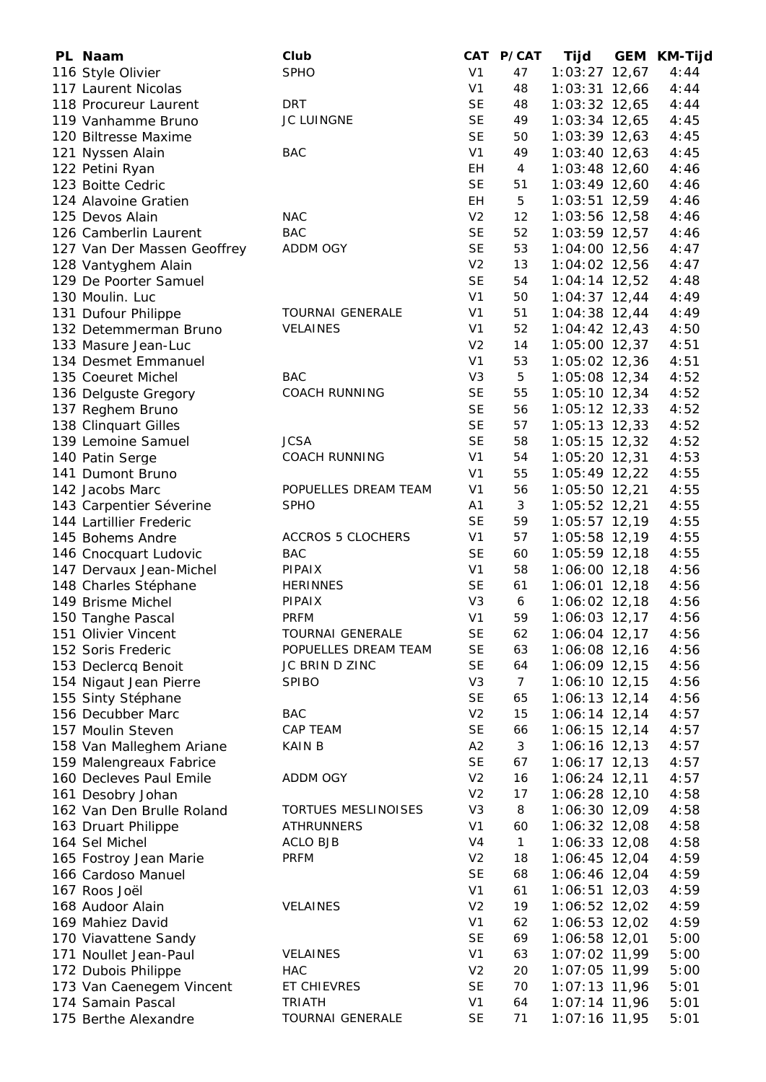| PL Naam                     | Club                     |                | CAT P/CAT      | Tijd            | <b>GEM KM-Tijd</b> |
|-----------------------------|--------------------------|----------------|----------------|-----------------|--------------------|
| 116 Style Olivier           | <b>SPHO</b>              | V <sub>1</sub> | 47             | $1:03:27$ 12,67 | 4:44               |
| 117 Laurent Nicolas         |                          | V <sub>1</sub> | 48             | $1:03:31$ 12,66 | 4:44               |
| 118 Procureur Laurent       | <b>DRT</b>               | <b>SE</b>      | 48             | $1:03:32$ 12,65 | 4:44               |
| 119 Vanhamme Bruno          | JC LUINGNE               | <b>SE</b>      | 49             | $1:03:34$ 12,65 | 4:45               |
| 120 Biltresse Maxime        |                          | <b>SE</b>      | 50             | $1:03:39$ 12,63 | 4:45               |
| 121 Nyssen Alain            | <b>BAC</b>               | V <sub>1</sub> | 49             | $1:03:40$ 12,63 | 4:45               |
| 122 Petini Ryan             |                          | EH             | 4              | $1:03:48$ 12,60 | 4:46               |
| 123 Boitte Cedric           |                          | <b>SE</b>      | 51             | $1:03:49$ 12,60 | 4:46               |
| 124 Alavoine Gratien        |                          | EH             | 5              | 1:03:51 12,59   | 4:46               |
| 125 Devos Alain             | <b>NAC</b>               | V <sub>2</sub> | 12             | 1:03:56 12,58   | 4:46               |
| 126 Camberlin Laurent       | <b>BAC</b>               | <b>SE</b>      | 52             | $1:03:59$ 12,57 | 4:46               |
| 127 Van Der Massen Geoffrey | ADDM OGY                 | <b>SE</b>      | 53             | 1:04:00 12,56   | 4:47               |
|                             |                          | V <sub>2</sub> | 13             |                 | 4:47               |
| 128 Vantyghem Alain         |                          | <b>SE</b>      |                | 1:04:02 12,56   |                    |
| 129 De Poorter Samuel       |                          | V <sub>1</sub> | 54             | $1:04:14$ 12,52 | 4:48               |
| 130 Moulin. Luc             |                          |                | 50             | $1:04:37$ 12,44 | 4:49               |
| 131 Dufour Philippe         | TOURNAI GENERALE         | V <sub>1</sub> | 51             | $1:04:38$ 12,44 | 4:49               |
| 132 Detemmerman Bruno       | <b>VELAINES</b>          | V <sub>1</sub> | 52             | $1:04:42$ 12,43 | 4:50               |
| 133 Masure Jean-Luc         |                          | V <sub>2</sub> | 14             | 1:05:00 12,37   | 4:51               |
| 134 Desmet Emmanuel         |                          | V <sub>1</sub> | 53             | 1:05:02 12,36   | 4:51               |
| 135 Coeuret Michel          | <b>BAC</b>               | V <sub>3</sub> | 5              | 1:05:08 12,34   | 4:52               |
| 136 Delguste Gregory        | <b>COACH RUNNING</b>     | <b>SE</b>      | 55             | $1:05:10$ 12,34 | 4:52               |
| 137 Reghem Bruno            |                          | <b>SE</b>      | 56             | 1:05:12 12,33   | 4:52               |
| 138 Clinquart Gilles        |                          | <b>SE</b>      | 57             | $1:05:13$ 12,33 | 4:52               |
| 139 Lemoine Samuel          | <b>JCSA</b>              | <b>SE</b>      | 58             | $1:05:15$ 12,32 | 4:52               |
| 140 Patin Serge             | <b>COACH RUNNING</b>     | V <sub>1</sub> | 54             | 1:05:20 12,31   | 4:53               |
| 141 Dumont Bruno            |                          | V <sub>1</sub> | 55             | $1:05:49$ 12,22 | 4:55               |
| 142 Jacobs Marc             | POPUELLES DREAM TEAM     | V <sub>1</sub> | 56             | $1:05:50$ 12,21 | 4:55               |
| 143 Carpentier Séverine     | <b>SPHO</b>              | A <sub>1</sub> | 3              | $1:05:52$ 12,21 | 4:55               |
| 144 Lartillier Frederic     |                          | <b>SE</b>      | 59             | 1:05:57 12,19   | 4:55               |
| 145 Bohems Andre            | <b>ACCROS 5 CLOCHERS</b> | V <sub>1</sub> | 57             | 1:05:58 12,19   | 4:55               |
| 146 Cnocquart Ludovic       | <b>BAC</b>               | <b>SE</b>      | 60             | $1:05:59$ 12,18 | 4:55               |
| 147 Dervaux Jean-Michel     | PIPAIX                   | V <sub>1</sub> | 58             | 1:06:00 12,18   | 4:56               |
| 148 Charles Stéphane        | <b>HERINNES</b>          | <b>SE</b>      | 61             | 1:06:01 12,18   | 4:56               |
| 149 Brisme Michel           | PIPAIX                   | V <sub>3</sub> | 6              | $1:06:02$ 12,18 | 4:56               |
| 150 Tanghe Pascal           | <b>PRFM</b>              | V <sub>1</sub> | 59             | $1:06:03$ 12,17 | 4:56               |
| 151 Olivier Vincent         | <b>TOURNAI GENERALE</b>  | SE             | 62             | 1:06:04 12,17   | 4:56               |
| 152 Soris Frederic          | POPUELLES DREAM TEAM     | <b>SE</b>      | 63             |                 | 4:56               |
|                             |                          |                |                | 1:06:08 12,16   |                    |
| 153 Declercq Benoit         | JC BRIN D ZINC           | <b>SE</b>      | 64             | 1:06:09 12,15   | 4:56               |
| 154 Nigaut Jean Pierre      | <b>SPIBO</b>             | V <sub>3</sub> | $\overline{7}$ | $1:06:10$ 12,15 | 4:56               |
| 155 Sinty Stéphane          |                          | <b>SE</b>      | 65             | $1:06:13$ 12,14 | 4:56               |
| 156 Decubber Marc           | <b>BAC</b>               | V <sub>2</sub> | 15             | $1:06:14$ 12,14 | 4:57               |
| 157 Moulin Steven           | CAP TEAM                 | <b>SE</b>      | 66             | $1:06:15$ 12,14 | 4:57               |
| 158 Van Malleghem Ariane    | <b>KAIN B</b>            | A2             | 3              | 1:06:16 12,13   | 4:57               |
| 159 Malengreaux Fabrice     |                          | <b>SE</b>      | 67             | $1:06:17$ 12,13 | 4:57               |
| 160 Decleves Paul Emile     | ADDM OGY                 | V <sub>2</sub> | 16             | $1:06:24$ 12,11 | 4:57               |
| 161 Desobry Johan           |                          | V <sub>2</sub> | 17             | 1:06:28 12,10   | 4:58               |
| 162 Van Den Brulle Roland   | TORTUES MESLINOISES      | V <sub>3</sub> | 8              | 1:06:30 12,09   | 4:58               |
| 163 Druart Philippe         | ATHRUNNERS               | V <sub>1</sub> | 60             | $1:06:32$ 12,08 | 4:58               |
| 164 Sel Michel              | ACLO BJB                 | V <sub>4</sub> | $\mathbf{1}$   | 1:06:33 12,08   | 4:58               |
| 165 Fostroy Jean Marie      | <b>PRFM</b>              | V <sub>2</sub> | 18             | $1:06:45$ 12,04 | 4:59               |
| 166 Cardoso Manuel          |                          | <b>SE</b>      | 68             | 1:06:46 12,04   | 4:59               |
| 167 Roos Joël               |                          | V <sub>1</sub> | 61             | $1:06:51$ 12,03 | 4:59               |
| 168 Audoor Alain            | VELAINES                 | V <sub>2</sub> | 19             | $1:06:52$ 12,02 | 4:59               |
| 169 Mahiez David            |                          | V <sub>1</sub> | 62             | 1:06:53 12,02   | 4:59               |
| 170 Viavattene Sandy        |                          | <b>SE</b>      | 69             | 1:06:58 12,01   | 5:00               |
| 171 Noullet Jean-Paul       | VELAINES                 | V <sub>1</sub> | 63             | 1:07:02 11,99   | 5:00               |
| 172 Dubois Philippe         | <b>HAC</b>               | V <sub>2</sub> | 20             | 1:07:05 11,99   | 5:00               |
| 173 Van Caenegem Vincent    | ET CHIEVRES              | <b>SE</b>      | 70             | $1:07:13$ 11,96 | 5:01               |
| 174 Samain Pascal           | <b>TRIATH</b>            | V <sub>1</sub> | 64             | 1:07:14 11,96   | 5:01               |
| 175 Berthe Alexandre        | <b>TOURNAI GENERALE</b>  | <b>SE</b>      | 71             | 1:07:16 11,95   | 5:01               |
|                             |                          |                |                |                 |                    |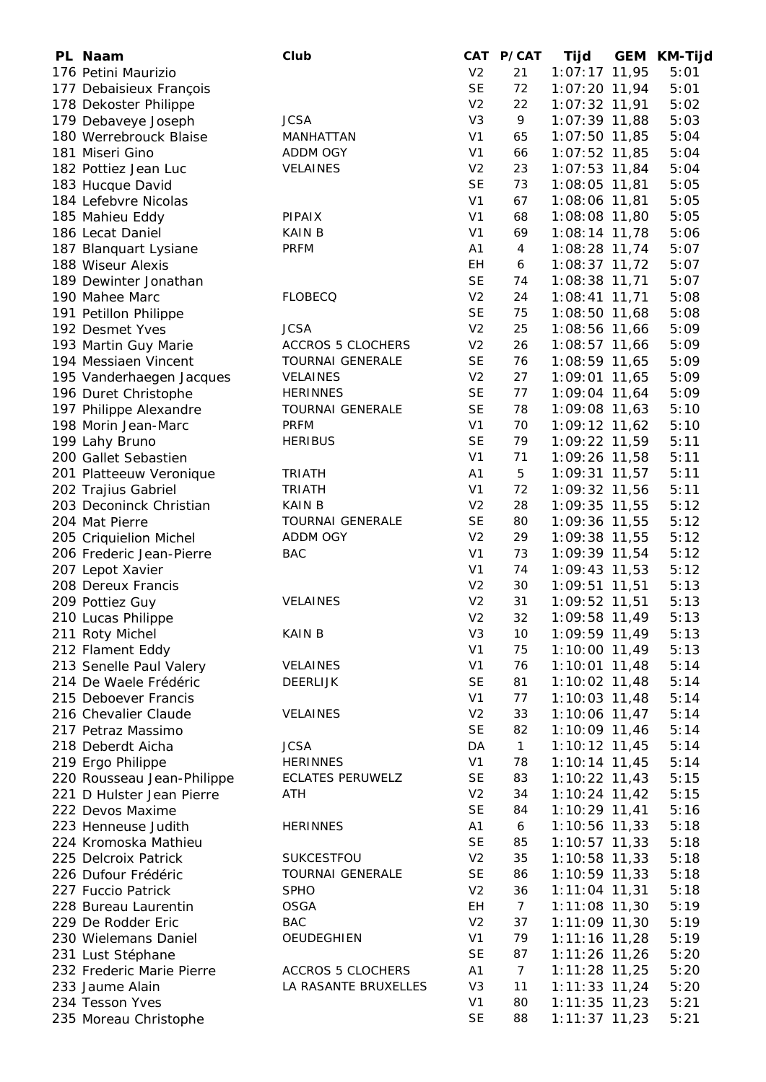| PL Naam                                 | Club                     |                | CAT P/CAT       | Tijd            | GEM KM-Tijd |
|-----------------------------------------|--------------------------|----------------|-----------------|-----------------|-------------|
| 176 Petini Maurizio                     |                          | V <sub>2</sub> | 21              | 1:07:17 11,95   | 5:01        |
| 177 Debaisieux François                 |                          | <b>SE</b>      | 72              | $1:07:20$ 11,94 | 5:01        |
| 178 Dekoster Philippe                   |                          | V <sub>2</sub> | 22              | 1:07:32 11,91   | 5:02        |
| 179 Debaveye Joseph                     | <b>JCSA</b>              | V <sub>3</sub> | 9               | 1:07:39 11,88   | 5:03        |
| 180 Werrebrouck Blaise                  | MANHATTAN                | V <sub>1</sub> | 65              | $1:07:50$ 11,85 | 5:04        |
| 181 Miseri Gino                         | ADDM OGY                 | V <sub>1</sub> | 66              | 1:07:52 11,85   | 5:04        |
| 182 Pottiez Jean Luc                    | VELAINES                 | V <sub>2</sub> | 23              | $1:07:53$ 11,84 | 5:04        |
| 183 Hucque David                        |                          | <b>SE</b>      | 73              | $1:08:05$ 11,81 | 5:05        |
| 184 Lefebvre Nicolas                    |                          | V <sub>1</sub> | 67              | 1:08:06 11,81   | 5:05        |
| 185 Mahieu Eddy                         | PIPAIX                   | V <sub>1</sub> | 68              | 1:08:08 11,80   | 5:05        |
| 186 Lecat Daniel                        | <b>KAIN B</b>            | V <sub>1</sub> | 69              | $1:08:14$ 11,78 | 5:06        |
| 187 Blanquart Lysiane                   | <b>PRFM</b>              | A1             | $\overline{4}$  | 1:08:28 11,74   | 5:07        |
| 188 Wiseur Alexis                       |                          | EH             | 6               | 1:08:37 11,72   | 5:07        |
| 189 Dewinter Jonathan                   |                          | <b>SE</b>      | 74              | 1:08:38 11,71   | 5:07        |
|                                         | <b>FLOBECQ</b>           | V <sub>2</sub> | 24              |                 |             |
| 190 Mahee Marc                          |                          | <b>SE</b>      |                 | $1:08:41$ 11,71 | 5:08        |
| 191 Petillon Philippe                   |                          |                | 75              | 1:08:50 11,68   | 5:08        |
| 192 Desmet Yves                         | <b>JCSA</b>              | V <sub>2</sub> | 25              | 1:08:56 11,66   | 5:09        |
| 193 Martin Guy Marie                    | <b>ACCROS 5 CLOCHERS</b> | V <sub>2</sub> | 26              | 1:08:57 11,66   | 5:09        |
| 194 Messiaen Vincent                    | <b>TOURNAI GENERALE</b>  | <b>SE</b>      | 76              | 1:08:59 11,65   | 5:09        |
| 195 Vanderhaegen Jacques                | <b>VELAINES</b>          | V <sub>2</sub> | 27              | 1:09:01 11,65   | 5:09        |
| 196 Duret Christophe                    | <b>HERINNES</b>          | <b>SE</b>      | 77              | 1:09:04 11,64   | 5:09        |
| 197 Philippe Alexandre                  | <b>TOURNAI GENERALE</b>  | <b>SE</b>      | 78              | 1:09:08 11,63   | 5:10        |
| 198 Morin Jean-Marc                     | <b>PRFM</b>              | V <sub>1</sub> | 70              | $1:09:12$ 11,62 | 5:10        |
| 199 Lahy Bruno                          | <b>HERIBUS</b>           | <b>SE</b>      | 79              | 1:09:22 11,59   | 5:11        |
| 200 Gallet Sebastien                    |                          | V <sub>1</sub> | 71              | 1:09:26 11,58   | 5:11        |
| 201 Platteeuw Veronique                 | <b>TRIATH</b>            | A1             | 5               | $1:09:31$ 11,57 | 5:11        |
| 202 Trajius Gabriel                     | <b>TRIATH</b>            | V <sub>1</sub> | 72              | 1:09:32 11,56   | 5:11        |
| 203 Deconinck Christian                 | <b>KAIN B</b>            | V <sub>2</sub> | 28              | 1:09:35 11,55   | 5:12        |
| 204 Mat Pierre                          | <b>TOURNAI GENERALE</b>  | <b>SE</b>      | 80              | 1:09:36 11,55   | 5:12        |
| 205 Criquielion Michel                  | ADDM OGY                 | V <sub>2</sub> | 29              | 1:09:38 11,55   | 5:12        |
| 206 Frederic Jean-Pierre                | <b>BAC</b>               | V <sub>1</sub> | 73              | 1:09:39 11,54   | 5:12        |
| 207 Lepot Xavier                        |                          | V <sub>1</sub> | 74              | $1:09:43$ 11,53 | 5:12        |
| 208 Dereux Francis                      |                          | V <sub>2</sub> | 30              | 1:09:51 11,51   | 5:13        |
| 209 Pottiez Guy                         | <b>VELAINES</b>          | V <sub>2</sub> | 31              | 1:09:52 11,51   | 5:13        |
| 210 Lucas Philippe                      |                          | V <sub>2</sub> | 32              | 1:09:58 11,49   | 5:13        |
| 211 Roty Michel                         | <b>KAIN B</b>            | V <sub>3</sub> | 10              | 1:09:59 11,49   | 5:13        |
| 212 Flament Eddy                        |                          | V <sub>1</sub> | 75              | 1:10:00 11,49   | 5:13        |
| 213 Senelle Paul Valery                 | VELAINES                 | V <sub>1</sub> | 76              | $1:10:01$ 11,48 | 5:14        |
| 214 De Waele Frédéric                   | <b>DEERLIJK</b>          | <b>SE</b>      | 81              | $1:10:02$ 11,48 | 5:14        |
| 215 Deboever Francis                    |                          | V <sub>1</sub> | 77              | $1:10:03$ 11,48 | 5:14        |
|                                         |                          | V <sub>2</sub> | 33              | $1:10:06$ 11,47 | 5:14        |
| 216 Chevalier Claude                    | <b>VELAINES</b>          | <b>SE</b>      | 82              | 1:10:09 11,46   |             |
| 217 Petraz Massimo<br>218 Deberdt Aicha | <b>JCSA</b>              | DA             |                 | $1:10:12$ 11,45 | 5:14        |
|                                         |                          |                | $\mathbf{1}$    |                 | 5:14        |
| 219 Ergo Philippe                       | <b>HERINNES</b>          | V <sub>1</sub> | 78              | $1:10:14$ 11,45 | 5:14        |
| 220 Rousseau Jean-Philippe              | <b>ECLATES PERUWELZ</b>  | <b>SE</b>      | 83              | $1:10:22$ 11,43 | 5:15        |
| 221 D Hulster Jean Pierre               | ATH                      | V <sub>2</sub> | 34              | $1:10:24$ 11,42 | 5:15        |
| 222 Devos Maxime                        |                          | <b>SE</b>      | 84              | 1:10:29 11,41   | 5:16        |
| 223 Henneuse Judith                     | <b>HERINNES</b>          | A1             | 6               | $1:10:56$ 11,33 | 5:18        |
| 224 Kromoska Mathieu                    |                          | <b>SE</b>      | 85              | $1:10:57$ 11,33 | 5:18        |
| 225 Delcroix Patrick                    | SUKCESTFOU               | V <sub>2</sub> | 35              | $1:10:58$ 11,33 | 5:18        |
| 226 Dufour Frédéric                     | <b>TOURNAI GENERALE</b>  | <b>SE</b>      | 86              | $1:10:59$ 11,33 | 5:18        |
| 227 Fuccio Patrick                      | <b>SPHO</b>              | V <sub>2</sub> | 36              | $1:11:04$ 11,31 | 5:18        |
| 228 Bureau Laurentin                    | <b>OSGA</b>              | EH             | $\mathcal{I}$   | $1:11:08$ 11,30 | 5:19        |
| 229 De Rodder Eric                      | <b>BAC</b>               | V <sub>2</sub> | 37              | 1:11:09 11,30   | 5:19        |
| 230 Wielemans Daniel                    | OEUDEGHIEN               | V <sub>1</sub> | 79              | $1:11:16$ 11,28 | 5:19        |
| 231 Lust Stéphane                       |                          | <b>SE</b>      | 87              | $1:11:26$ 11,26 | 5:20        |
| 232 Frederic Marie Pierre               | ACCROS 5 CLOCHERS        | A1             | $7\overline{ }$ | $1:11:28$ 11,25 | 5:20        |
| 233 Jaume Alain                         | LA RASANTE BRUXELLES     | V <sub>3</sub> | 11              | $1:11:33$ 11,24 | 5:20        |
| 234 Tesson Yves                         |                          | V <sub>1</sub> | 80              | $1:11:35$ 11,23 | 5:21        |
| 235 Moreau Christophe                   |                          | <b>SE</b>      | 88              | $1:11:37$ 11,23 | 5:21        |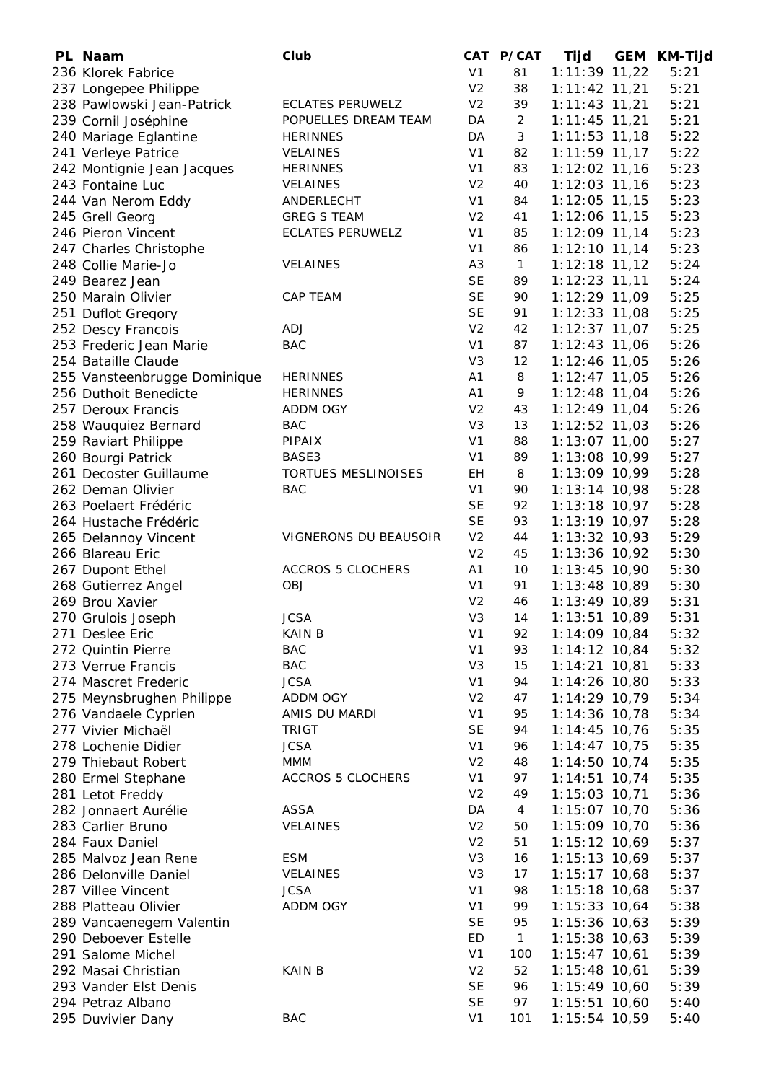| PL Naam                      | Club                     |                                  | CAT P/CAT      | <b>Tijd</b>     | GEM | <b>KM-Tijd</b> |
|------------------------------|--------------------------|----------------------------------|----------------|-----------------|-----|----------------|
| 236 Klorek Fabrice           |                          | V <sub>1</sub>                   | 81             | $1:11:39$ 11,22 |     | 5:21           |
| 237 Longepee Philippe        |                          | V <sub>2</sub>                   | 38             | $1:11:42$ 11,21 |     | 5:21           |
| 238 Pawlowski Jean-Patrick   | <b>ECLATES PERUWELZ</b>  | V <sub>2</sub>                   | 39             | $1:11:43$ 11,21 |     | 5:21           |
| 239 Cornil Joséphine         | POPUELLES DREAM TEAM     | DA                               | $\overline{2}$ | $1:11:45$ 11,21 |     | 5:21           |
| 240 Mariage Eglantine        | <b>HERINNES</b>          | DA                               | 3              | $1:11:53$ 11,18 |     | 5:22           |
| 241 Verleye Patrice          | VELAINES                 | V <sub>1</sub>                   | 82             | $1:11:59$ 11,17 |     | 5:22           |
| 242 Montignie Jean Jacques   | <b>HERINNES</b>          | V <sub>1</sub>                   | 83             | $1:12:02$ 11,16 |     | 5:23           |
| 243 Fontaine Luc             | VELAINES                 | V <sub>2</sub>                   | 40             | $1:12:03$ 11,16 |     | 5:23           |
| 244 Van Nerom Eddy           | ANDERLECHT               | V <sub>1</sub>                   | 84             | $1:12:05$ 11,15 |     | 5:23           |
| 245 Grell Georg              | <b>GREG S TEAM</b>       | V <sub>2</sub>                   | 41             | 1:12:06 11,15   |     | 5:23           |
| 246 Pieron Vincent           | <b>ECLATES PERUWELZ</b>  | V <sub>1</sub>                   | 85             | $1:12:09$ 11,14 |     | 5:23           |
| 247 Charles Christophe       |                          | V <sub>1</sub>                   | 86             | $1:12:10$ 11,14 |     | 5:23           |
| 248 Collie Marie-Jo          | <b>VELAINES</b>          | A <sub>3</sub>                   | $\mathbf{1}$   | $1:12:18$ 11,12 |     | 5:24           |
| 249 Bearez Jean              |                          | <b>SE</b>                        | 89             | $1:12:23$ 11,11 |     | 5:24           |
| 250 Marain Olivier           | <b>CAP TEAM</b>          | <b>SE</b>                        | 90             | 1:12:29 11,09   |     | 5:25           |
| 251 Duflot Gregory           |                          | <b>SE</b>                        | 91             | $1:12:33$ 11,08 |     | 5:25           |
| 252 Descy Francois           | ADJ                      | V <sub>2</sub>                   | 42             | $1:12:37$ 11,07 |     | 5:25           |
| 253 Frederic Jean Marie      | <b>BAC</b>               | V <sub>1</sub>                   | 87             | $1:12:43$ 11,06 |     | 5:26           |
| 254 Bataille Claude          |                          | V <sub>3</sub>                   | 12             | 1:12:46 11,05   |     | 5:26           |
| 255 Vansteenbrugge Dominique | <b>HERINNES</b>          | A <sub>1</sub>                   | 8              | $1:12:47$ 11,05 |     | 5:26           |
| 256 Duthoit Benedicte        | <b>HERINNES</b>          | A <sub>1</sub>                   | 9              | $1:12:48$ 11,04 |     | 5:26           |
| 257 Deroux Francis           | <b>ADDM OGY</b>          | V <sub>2</sub>                   | 43             | $1:12:49$ 11,04 |     | 5:26           |
|                              | <b>BAC</b>               | V <sub>3</sub>                   | 13             | $1:12:52$ 11,03 |     | 5:26           |
| 258 Wauquiez Bernard         |                          |                                  |                |                 |     | 5:27           |
| 259 Raviart Philippe         | PIPAIX                   | V <sub>1</sub><br>V <sub>1</sub> | 88             | 1:13:07 11,00   |     |                |
| 260 Bourgi Patrick           | BASE3                    |                                  | 89             | 1:13:08 10,99   |     | 5:27           |
| 261 Decoster Guillaume       | TORTUES MESLINOISES      | EH                               | 8              | 1:13:09 10,99   |     | 5:28           |
| 262 Deman Olivier            | <b>BAC</b>               | V <sub>1</sub>                   | 90             | $1:13:14$ 10,98 |     | 5:28           |
| 263 Poelaert Frédéric        |                          | <b>SE</b>                        | 92             | $1:13:18$ 10,97 |     | 5:28           |
| 264 Hustache Frédéric        |                          | <b>SE</b>                        | 93             | $1:13:19$ 10,97 |     | 5:28           |
| 265 Delannoy Vincent         | VIGNERONS DU BEAUSOIR    | V <sub>2</sub>                   | 44             | 1:13:32 10,93   |     | 5:29           |
| 266 Blareau Eric             |                          | V <sub>2</sub>                   | 45             | 1:13:36 10,92   |     | 5:30           |
| 267 Dupont Ethel             | <b>ACCROS 5 CLOCHERS</b> | A <sub>1</sub>                   | 10             | $1:13:45$ 10,90 |     | 5:30           |
| 268 Gutierrez Angel          | OBJ                      | V <sub>1</sub>                   | 91             | 1:13:48 10,89   |     | 5:30           |
| 269 Brou Xavier              |                          | V <sub>2</sub>                   | 46             | 1:13:49 10,89   |     | 5:31           |
| 270 Grulois Joseph           | <b>JCSA</b>              | V <sub>3</sub>                   | 14             | 1:13:51 10,89   |     | 5:31           |
| 271 Deslee Eric              | <b>KAIN B</b>            | V <sub>1</sub>                   | 92             | 1:14:09 10,84   |     | 5:32           |
| 272 Quintin Pierre           | <b>BAC</b>               | V <sub>1</sub>                   | 93             | $1:14:12$ 10,84 |     | 5:32           |
| 273 Verrue Francis           | <b>BAC</b>               | V <sub>3</sub>                   | 15             | $1:14:21$ 10,81 |     | 5:33           |
| 274 Mascret Frederic         | <b>JCSA</b>              | V <sub>1</sub>                   | 94             | 1:14:26 10,80   |     | 5:33           |
| 275 Meynsbrughen Philippe    | ADDM OGY                 | V <sub>2</sub>                   | 47             | 1:14:29 10,79   |     | 5:34           |
| 276 Vandaele Cyprien         | AMIS DU MARDI            | V <sub>1</sub>                   | 95             | $1:14:36$ 10,78 |     | 5:34           |
| 277 Vivier Michaël           | <b>TRIGT</b>             | <b>SE</b>                        | 94             | $1:14:45$ 10,76 |     | 5:35           |
| 278 Lochenie Didier          | <b>JCSA</b>              | V <sub>1</sub>                   | 96             | $1:14:47$ 10,75 |     | 5:35           |
| 279 Thiebaut Robert          | MMM                      | V <sub>2</sub>                   | 48             | $1:14:50$ 10,74 |     | 5:35           |
| 280 Ermel Stephane           | <b>ACCROS 5 CLOCHERS</b> | V <sub>1</sub>                   | 97             | $1:14:51$ 10,74 |     | 5:35           |
| 281 Letot Freddy             |                          | V <sub>2</sub>                   | 49             | 1:15:03 10,71   |     | 5:36           |
| 282 Jonnaert Aurélie         | <b>ASSA</b>              | DA                               | $\overline{4}$ | 1:15:07 10,70   |     | 5:36           |
| 283 Carlier Bruno            | VELAINES                 | V <sub>2</sub>                   | 50             | 1:15:09 10,70   |     | 5:36           |
| 284 Faux Daniel              |                          | V <sub>2</sub>                   | 51             | 1:15:12 10,69   |     | 5:37           |
| 285 Malvoz Jean Rene         | <b>ESM</b>               | V <sub>3</sub>                   | 16             | 1:15:13 10,69   |     | 5:37           |
| 286 Delonville Daniel        | VELAINES                 | V <sub>3</sub>                   | 17             | $1:15:17$ 10,68 |     | 5:37           |
| 287 Villee Vincent           | <b>JCSA</b>              | V <sub>1</sub>                   | 98             | $1:15:18$ 10,68 |     | 5:37           |
| 288 Platteau Olivier         | ADDM OGY                 | V <sub>1</sub>                   | 99             | $1:15:33$ 10,64 |     | 5:38           |
| 289 Vancaenegem Valentin     |                          | <b>SE</b>                        | 95             | $1:15:36$ 10,63 |     | 5:39           |
| 290 Deboever Estelle         |                          | <b>ED</b>                        | $\mathbf{1}$   | $1:15:38$ 10,63 |     | 5:39           |
| 291 Salome Michel            |                          | V <sub>1</sub>                   | 100            | $1:15:47$ 10,61 |     | 5:39           |
| 292 Masai Christian          | <b>KAIN B</b>            | V <sub>2</sub>                   | 52             | $1:15:48$ 10,61 |     | 5:39           |
| 293 Vander Elst Denis        |                          | <b>SE</b>                        | 96             | 1:15:49 10,60   |     | 5:39           |
| 294 Petraz Albano            |                          | <b>SE</b>                        | 97             | $1:15:51$ 10,60 |     | 5:40           |
| 295 Duvivier Dany            | <b>BAC</b>               | V <sub>1</sub>                   | 101            | 1:15:54 10,59   |     | 5:40           |
|                              |                          |                                  |                |                 |     |                |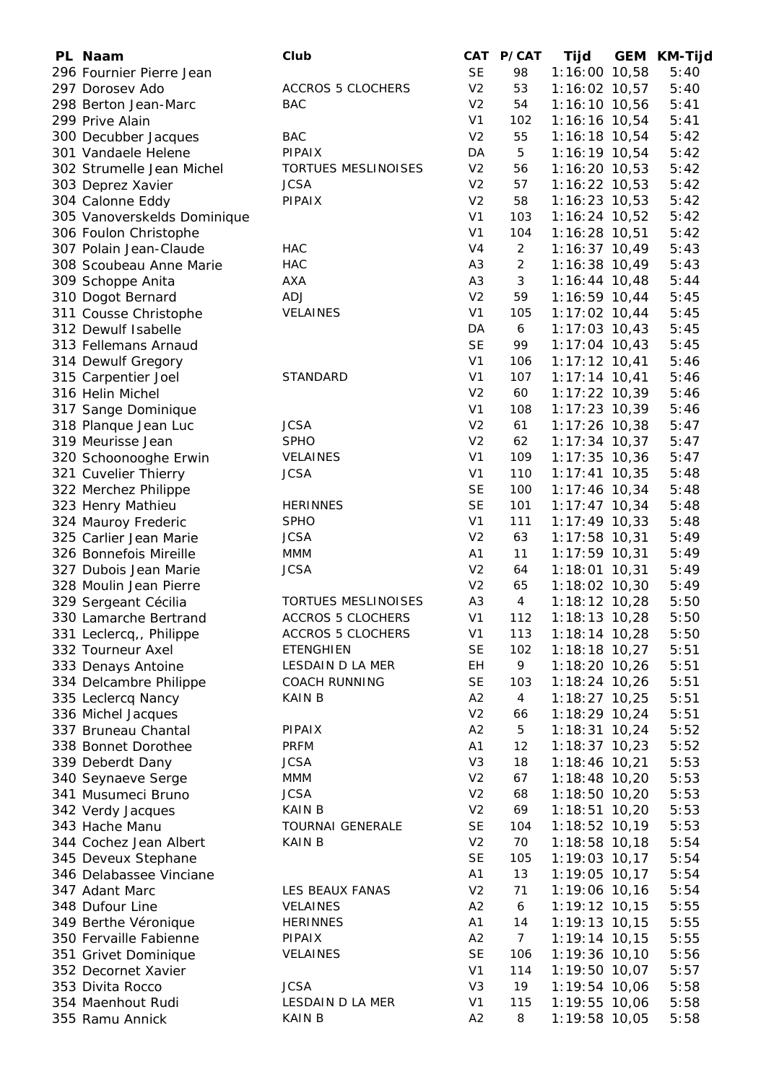| PL Naam                                         | Club                       |                             | CAT P/CAT       | <b>Tijd</b>                        | <b>GEM KM-Tijd</b> |
|-------------------------------------------------|----------------------------|-----------------------------|-----------------|------------------------------------|--------------------|
| 296 Fournier Pierre Jean                        |                            | <b>SE</b>                   | 98              | 1:16:00 10,58                      | 5:40               |
| 297 Dorosev Ado                                 | <b>ACCROS 5 CLOCHERS</b>   | V <sub>2</sub>              | 53              | $1:16:02$ 10,57                    | 5:40               |
| 298 Berton Jean-Marc                            | <b>BAC</b>                 | V <sub>2</sub>              | 54              | $1:16:10$ 10,56                    | 5:41               |
| 299 Prive Alain                                 |                            | V <sub>1</sub>              | 102             | 1:16:16 10,54                      | 5:41               |
| 300 Decubber Jacques                            | <b>BAC</b>                 | V <sub>2</sub>              | 55              | $1:16:18$ 10,54                    | 5:42               |
| 301 Vandaele Helene                             | PIPAIX                     | DA                          | 5               | 1:16:19 10,54                      | 5:42               |
| 302 Strumelle Jean Michel                       | TORTUES MESLINOISES        | V <sub>2</sub>              | 56              | $1:16:20$ 10,53                    | 5:42               |
| 303 Deprez Xavier                               | <b>JCSA</b>                | V <sub>2</sub>              | 57              | $1:16:22$ 10,53                    | 5:42               |
| 304 Calonne Eddy                                | PIPAIX                     | V <sub>2</sub>              | 58              | $1:16:23$ 10,53                    | 5:42               |
| 305 Vanoverskelds Dominique                     |                            | V <sub>1</sub>              | 103             | 1:16:24 10,52                      | 5:42               |
| 306 Foulon Christophe                           |                            | V <sub>1</sub>              | 104             | 1:16:28 10,51                      | 5:42               |
| 307 Polain Jean-Claude                          | <b>HAC</b>                 | V <sub>4</sub>              | $\overline{2}$  | $1:16:37$ 10,49                    | 5:43               |
| 308 Scoubeau Anne Marie                         | <b>HAC</b>                 | A <sub>3</sub>              | $\overline{2}$  | 1:16:38 10,49                      | 5:43               |
| 309 Schoppe Anita                               | <b>AXA</b>                 | A <sub>3</sub>              | 3               | $1:16:44$ 10,48                    | 5:44               |
| 310 Dogot Bernard                               | <b>ADJ</b>                 | V <sub>2</sub>              | 59              | $1:16:59$ 10,44                    | 5:45               |
| 311 Cousse Christophe                           | VELAINES                   | V <sub>1</sub>              | 105             | $1:17:02$ 10,44                    | 5:45               |
| 312 Dewulf Isabelle                             |                            | DA                          | 6               | $1:17:03$ 10,43                    | 5:45               |
| 313 Fellemans Arnaud                            |                            | <b>SE</b>                   | 99              | $1:17:04$ 10,43                    | 5:45               |
| 314 Dewulf Gregory                              |                            | V <sub>1</sub>              | 106             | $1:17:12$ 10,41                    | 5:46               |
| 315 Carpentier Joel                             | STANDARD                   | V <sub>1</sub>              | 107             | $1:17:14$ 10,41                    | 5:46               |
| 316 Helin Michel                                |                            | V <sub>2</sub>              | 60              | $1:17:22$ 10,39                    | 5:46               |
| 317 Sange Dominique                             |                            | V <sub>1</sub>              | 108             | $1:17:23$ 10,39                    | 5:46               |
| 318 Planque Jean Luc                            | <b>JCSA</b>                | V <sub>2</sub>              | 61              | $1:17:26$ 10,38                    | 5:47               |
| 319 Meurisse Jean                               | <b>SPHO</b>                | V <sub>2</sub>              | 62              | $1:17:34$ 10,37                    | 5:47               |
| 320 Schoonooghe Erwin                           | VELAINES                   | V <sub>1</sub>              | 109             | $1:17:35$ 10,36                    | 5:47               |
| 321 Cuvelier Thierry                            | <b>JCSA</b>                | V <sub>1</sub>              | 110             | $1:17:41$ 10,35                    | 5:48               |
| 322 Merchez Philippe                            |                            | <b>SE</b>                   | 100             | $1:17:46$ 10,34                    | 5:48               |
| 323 Henry Mathieu                               | <b>HERINNES</b>            | <b>SE</b><br>V <sub>1</sub> | 101             | $1:17:47$ 10,34                    | 5:48               |
| 324 Mauroy Frederic                             | <b>SPHO</b>                |                             | 111             | $1:17:49$ 10,33                    | 5:48               |
| 325 Carlier Jean Marie                          | <b>JCSA</b>                | V <sub>2</sub>              | 63              | $1:17:58$ 10,31                    | 5:49               |
| 326 Bonnefois Mireille<br>327 Dubois Jean Marie | MMM<br><b>JCSA</b>         | A1<br>V <sub>2</sub>        | 11              | $1:17:59$ 10,31<br>$1:18:01$ 10,31 | 5:49<br>5:49       |
| 328 Moulin Jean Pierre                          |                            | V <sub>2</sub>              | 64<br>65        | 1:18:02 10,30                      | 5:49               |
| 329 Sergeant Cécilia                            | <b>TORTUES MESLINOISES</b> | A <sub>3</sub>              | $\overline{4}$  | $1:18:12$ 10,28                    | 5:50               |
| 330 Lamarche Bertrand                           | <b>ACCROS 5 CLOCHERS</b>   | V <sub>1</sub>              | 112             | $1:18:13$ 10,28                    | 5:50               |
| 331 Leclercq,, Philippe                         | <b>ACCROS 5 CLOCHERS</b>   | V <sub>1</sub>              | 113             | $1:18:14$ 10,28                    | 5:50               |
| 332 Tourneur Axel                               | <b>ETENGHIEN</b>           | <b>SE</b>                   | 102             | $1:18:18$ 10,27                    | 5:51               |
| 333 Denays Antoine                              | LESDAIN D LA MER           | EH                          | 9               | $1:18:20$ 10,26                    | 5:51               |
| 334 Delcambre Philippe                          | <b>COACH RUNNING</b>       | <b>SE</b>                   | 103             | $1:18:24$ 10,26                    | 5:51               |
| 335 Leclercq Nancy                              | <b>KAIN B</b>              | A2                          | $\overline{4}$  | $1:18:27$ 10,25                    | 5:51               |
| 336 Michel Jacques                              |                            | V <sub>2</sub>              | 66              | $1:18:29$ 10,24                    | 5:51               |
| 337 Bruneau Chantal                             | PIPAIX                     | A2                          | 5               | $1:18:31$ 10,24                    | 5:52               |
| 338 Bonnet Dorothee                             | <b>PRFM</b>                | A1                          | 12              | $1:18:37$ 10,23                    | 5:52               |
| 339 Deberdt Dany                                | <b>JCSA</b>                | V <sub>3</sub>              | 18              | $1:18:46$ 10,21                    | 5:53               |
| 340 Seynaeve Serge                              | <b>MMM</b>                 | V <sub>2</sub>              | 67              | $1:18:48$ 10,20                    | 5:53               |
| 341 Musumeci Bruno                              | <b>JCSA</b>                | V <sub>2</sub>              | 68              | $1:18:50$ 10,20                    | 5:53               |
| 342 Verdy Jacques                               | KAIN B                     | V <sub>2</sub>              | 69              | $1:18:51$ 10,20                    | 5:53               |
| 343 Hache Manu                                  | TOURNAI GENERALE           | <b>SE</b>                   | 104             | $1:18:52$ 10,19                    | 5:53               |
| 344 Cochez Jean Albert                          | <b>KAIN B</b>              | V <sub>2</sub>              | 70              | $1:18:58$ 10,18                    | 5:54               |
| 345 Deveux Stephane                             |                            | <b>SE</b>                   | 105             | 1:19:03 10,17                      | 5:54               |
| 346 Delabassee Vinciane                         |                            | A1                          | 13              | 1:19:05 10,17                      | 5:54               |
| 347 Adant Marc                                  | LES BEAUX FANAS            | V <sub>2</sub>              | 71              | 1:19:06 10,16                      | 5:54               |
| 348 Dufour Line                                 | <b>VELAINES</b>            | A2                          | 6               | $1:19:12$ 10,15                    | 5:55               |
| 349 Berthe Véronique                            | <b>HERINNES</b>            | A1                          | 14              | 1:19:13 10,15                      | 5:55               |
| 350 Fervaille Fabienne                          | PIPAIX                     | A2                          | $7\overline{ }$ | $1:19:14$ 10,15                    | 5:55               |
| 351 Grivet Dominique                            | VELAINES                   | <b>SE</b>                   | 106             | 1:19:36 10,10                      | 5:56               |
| 352 Decornet Xavier                             |                            | V <sub>1</sub>              | 114             | 1:19:50 10,07                      | 5:57               |
| 353 Divita Rocco                                | <b>JCSA</b>                | V <sub>3</sub>              | 19              | 1:19:54 10,06                      | 5:58               |
| 354 Maenhout Rudi                               | LESDAIN D LA MER           | V <sub>1</sub>              | 115             | 1:19:55 10,06                      | 5:58               |
| 355 Ramu Annick                                 | <b>KAIN B</b>              | A2                          | 8               | 1:19:58 10,05                      | 5:58               |
|                                                 |                            |                             |                 |                                    |                    |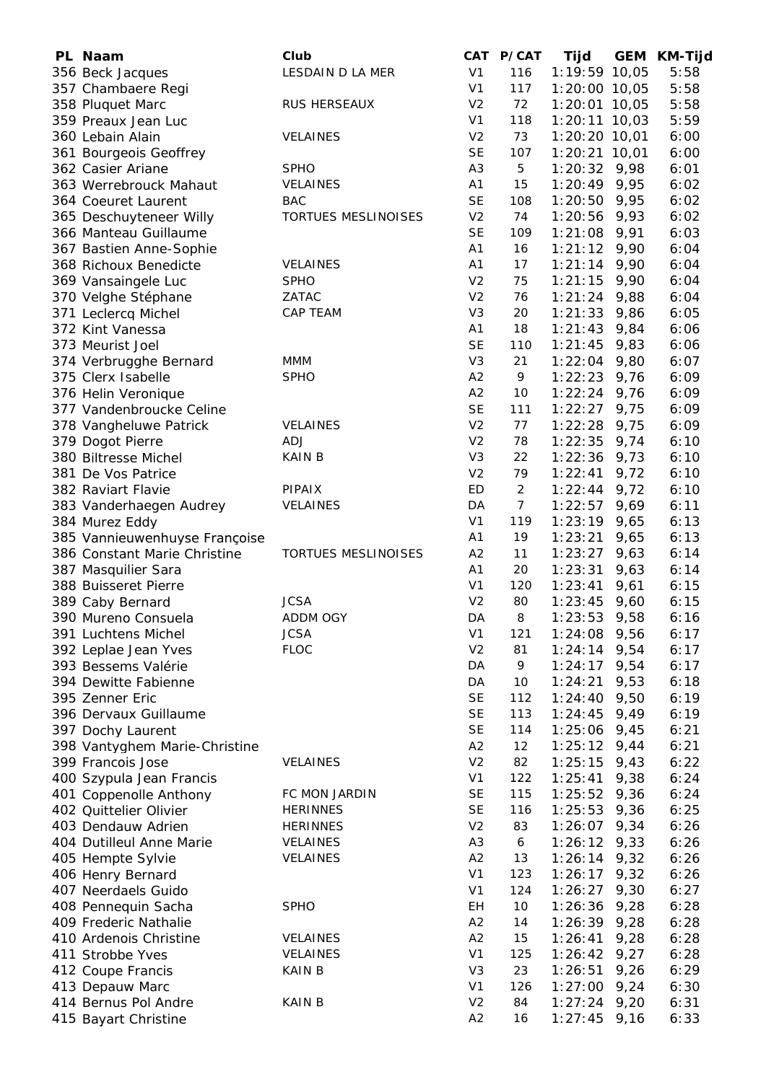| PL Naam                       | Club                       | CAT            | P/CAT          | Tijd            | <b>GEM</b> | <b>KM-Tijd</b> |
|-------------------------------|----------------------------|----------------|----------------|-----------------|------------|----------------|
| 356 Beck Jacques              | LESDAIN D LA MER           | V <sub>1</sub> | 116            | 1:19:59 10,05   |            | 5:58           |
| 357 Chambaere Regi            |                            | V <sub>1</sub> | 117            | 1:20:00 10,05   |            | 5:58           |
| 358 Pluquet Marc              | RUS HERSEAUX               | V <sub>2</sub> | 72             | $1:20:01$ 10,05 |            | 5:58           |
| 359 Preaux Jean Luc           |                            | V <sub>1</sub> | 118            | $1:20:11$ 10,03 |            | 5:59           |
| 360 Lebain Alain              | <b>VELAINES</b>            | V <sub>2</sub> | 73             | $1:20:20$ 10,01 |            | 6:00           |
| 361 Bourgeois Geoffrey        |                            | <b>SE</b>      | 107            | $1:20:21$ 10,01 |            | 6:00           |
| 362 Casier Ariane             | <b>SPHO</b>                | A <sub>3</sub> | 5              | $1:20:32$ 9,98  |            | 6:01           |
| 363 Werrebrouck Mahaut        | VELAINES                   | A1             | 15             | $1:20:49$ 9,95  |            | 6:02           |
| 364 Coeuret Laurent           | <b>BAC</b>                 | <b>SE</b>      | 108            | $1:20:50$ 9,95  |            | 6:02           |
| 365 Deschuyteneer Willy       | <b>TORTUES MESLINOISES</b> | V <sub>2</sub> | 74             | $1:20:56$ 9,93  |            | 6:02           |
| 366 Manteau Guillaume         |                            | <b>SE</b>      | 109            | $1:21:08$ 9,91  |            | 6:03           |
| 367 Bastien Anne-Sophie       |                            | A <sub>1</sub> | 16             | $1:21:12$ 9,90  |            | 6:04           |
| 368 Richoux Benedicte         | VELAINES                   | A1             | 17             | 1:21:14         | 9,90       | 6:04           |
| 369 Vansaingele Luc           | <b>SPHO</b>                | V <sub>2</sub> | 75             | 1:21:15         | 9,90       | 6:04           |
| 370 Velghe Stéphane           | ZATAC                      | V <sub>2</sub> | 76             | 1:21:24         | 9,88       | 6:04           |
| 371 Leclercq Michel           | <b>CAP TEAM</b>            | V <sub>3</sub> | 20             | 1:21:33         | 9,86       | 6:05           |
| 372 Kint Vanessa              |                            | A1             | 18             | 1:21:43         | 9,84       | 6:06           |
| 373 Meurist Joel              |                            | <b>SE</b>      | 110            | 1:21:45         | 9,83       | 6:06           |
|                               |                            | V <sub>3</sub> | 21             | 1:22:04         | 9,80       | 6:07           |
| 374 Verbrugghe Bernard        | MMM                        |                |                |                 |            |                |
| 375 Clerx Isabelle            | <b>SPHO</b>                | A2             | 9              | 1:22:23         | 9,76       | 6:09           |
| 376 Helin Veronique           |                            | A2             | 10             | $1:22:24$ 9,76  |            | 6:09           |
| 377 Vandenbroucke Celine      |                            | <b>SE</b>      | 111            | $1:22:27$ 9,75  |            | 6:09           |
| 378 Vangheluwe Patrick        | <b>VELAINES</b>            | V <sub>2</sub> | 77             | 1:22:28         | 9,75       | 6:09           |
| 379 Dogot Pierre              | <b>ADJ</b>                 | V <sub>2</sub> | 78             | 1:22:35         | 9,74       | 6:10           |
| 380 Biltresse Michel          | <b>KAIN B</b>              | V <sub>3</sub> | 22             | 1:22:36         | 9,73       | 6:10           |
| 381 De Vos Patrice            |                            | V <sub>2</sub> | 79             | 1:22:41         | 9,72       | 6:10           |
| 382 Raviart Flavie            | <b>PIPAIX</b>              | ED             | $\overline{a}$ | 1:22:44         | 9,72       | 6:10           |
| 383 Vanderhaegen Audrey       | VELAINES                   | DA             | 7 <sup>7</sup> | 1:22:57         | 9,69       | 6:11           |
| 384 Murez Eddy                |                            | V <sub>1</sub> | 119            | 1:23:19         | 9,65       | 6:13           |
| 385 Vannieuwenhuyse Françoise |                            | A <sub>1</sub> | 19             | 1:23:21         | 9,65       | 6:13           |
| 386 Constant Marie Christine  | <b>TORTUES MESLINOISES</b> | A2             | 11             | 1:23:27         | 9,63       | 6:14           |
| 387 Masquilier Sara           |                            | A1             | 20             | 1:23:31         | 9,63       | 6:14           |
| 388 Buisseret Pierre          |                            | V <sub>1</sub> | 120            | 1:23:41         | 9,61       | 6:15           |
| 389 Caby Bernard              | <b>JCSA</b>                | V <sub>2</sub> | 80             | 1:23:45         | 9,60       | 6:15           |
| 390 Mureno Consuela           | <b>ADDM OGY</b>            | DA             | 8              | 1:23:53         | 9,58       | 6:16           |
| 391 Luchtens Michel           | <b>JCSA</b>                | V <sub>1</sub> | 121            | 1:24:08         | 9,56       | 6:17           |
| 392 Leplae Jean Yves          | <b>FLOC</b>                | V <sub>2</sub> | 81             | 1:24:14         | 9,54       | 6:17           |
| 393 Bessems Valérie           |                            | DA             | 9              | 1:24:17         | 9,54       | 6:17           |
| 394 Dewitte Fabienne          |                            | DA             | 10             | 1:24:21         | 9,53       | 6:18           |
| 395 Zenner Eric               |                            | <b>SE</b>      | 112            | 1:24:40         | 9,50       | 6:19           |
| 396 Dervaux Guillaume         |                            | <b>SE</b>      | 113            | 1:24:45         | 9,49       | 6:19           |
| 397 Dochy Laurent             |                            | <b>SE</b>      | 114            | $1:25:06$ 9,45  |            | 6:21           |
| 398 Vantyghem Marie-Christine |                            | A2             | 12             | $1:25:12$ 9,44  |            | 6:21           |
| 399 Francois Jose             | <b>VELAINES</b>            | V <sub>2</sub> | 82             | $1:25:15$ 9,43  |            | 6:22           |
| 400 Szypula Jean Francis      |                            | V <sub>1</sub> | 122            | $1:25:41$ 9,38  |            | 6:24           |
| 401 Coppenolle Anthony        | FC MON JARDIN              | <b>SE</b>      | 115            | $1:25:52$ 9,36  |            | 6:24           |
| 402 Quittelier Olivier        | <b>HERINNES</b>            | <b>SE</b>      | 116            | $1:25:53$ 9,36  |            | 6:25           |
| 403 Dendauw Adrien            | <b>HERINNES</b>            | V <sub>2</sub> | 83             | $1:26:07$ 9,34  |            | 6:26           |
| 404 Dutilleul Anne Marie      | VELAINES                   | A <sub>3</sub> | 6              | $1:26:12$ 9,33  |            | 6:26           |
| 405 Hempte Sylvie             | VELAINES                   | A2             | 13             | $1:26:14$ 9,32  |            | 6:26           |
| 406 Henry Bernard             |                            | V <sub>1</sub> | 123            | 1:26:17         | 9,32       | 6:26           |
| 407 Neerdaels Guido           |                            | V <sub>1</sub> | 124            | 1:26:27         | 9,30       | 6:27           |
| 408 Pennequin Sacha           | <b>SPHO</b>                | EH             | 10             | 1:26:36         | 9,28       | 6:28           |
| 409 Frederic Nathalie         |                            | A2             |                |                 |            | 6:28           |
|                               |                            |                | 14             | $1:26:39$ 9,28  |            |                |
| 410 Ardenois Christine        | <b>VELAINES</b>            | A2             | 15             | 1:26:41         | 9,28       | 6:28           |
| 411 Strobbe Yves              | VELAINES                   | V <sub>1</sub> | 125            | $1:26:42$ 9,27  |            | 6:28           |
| 412 Coupe Francis             | <b>KAIN B</b>              | V <sub>3</sub> | 23             | 1:26:51         | 9,26       | 6:29           |
| 413 Depauw Marc               |                            | V <sub>1</sub> | 126            | $1:27:00$ 9,24  |            | 6:30           |
| 414 Bernus Pol Andre          | <b>KAIN B</b>              | V <sub>2</sub> | 84             | $1:27:24$ 9,20  |            | 6:31           |
| 415 Bayart Christine          |                            | A2             | 16             | $1:27:45$ 9,16  |            | 6:33           |